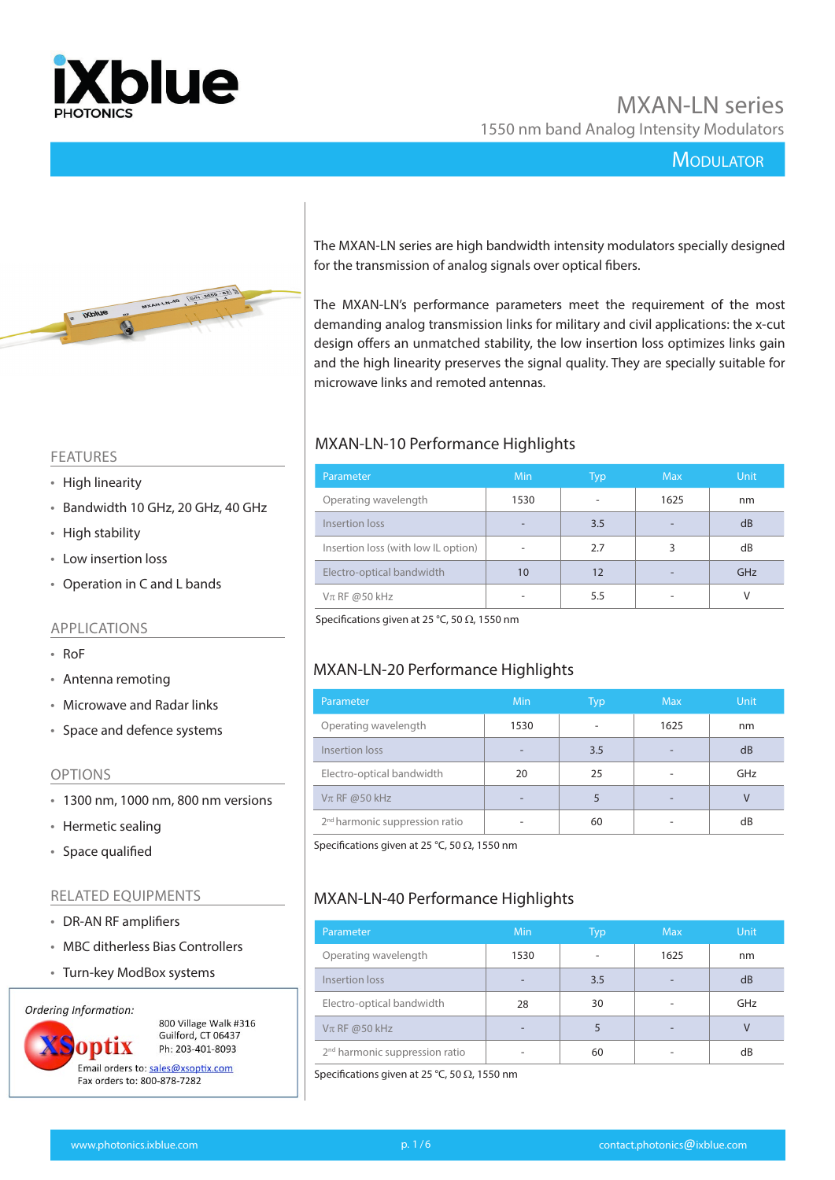

## **MODULATOR**



The MXAN-LN series are high bandwidth intensity modulators specially designed for the transmission of analog signals over optical fibers.

The MXAN-LN's performance parameters meet the requirement of the most demanding analog transmission links for military and civil applications: the x-cut design offers an unmatched stability, the low insertion loss optimizes links gain and the high linearity preserves the signal quality. They are specially suitable for microwave links and remoted antennas.

#### FEATURES

- High linearity
- Bandwidth 10 GHz, 20 GHz, 40 GHz
- High stability
- Low insertion loss
- Operation in C and L bands

#### APPLICATIONS

- RoF
- Antenna remoting
- Microwave and Radar links
- Space and defence systems

#### OPTIONS

- 1300 nm, 1000 nm, 800 nm versions
- Hermetic sealing
- Space qualified

#### RELATED EQUIPMENTS

- DR-AN RF amplifiers
- MBC ditherless Bias Controllers
- Turn-key ModBox systems

Ordering Information:



800 Village Walk #316 Guilford, CT 06437 Ph: 203-401-8093

Fax orders to: 800-878-7282

## MXAN-LN-10 Performance Highlights

| Parameter                           | Min  | Typ | Max  | <b>Unit</b> |
|-------------------------------------|------|-----|------|-------------|
| Operating wavelength                | 1530 |     | 1625 | nm          |
| Insertion loss                      | -    | 3.5 |      | dB          |
| Insertion loss (with low IL option) | ۰    | 2.7 | 3    | dB          |
| Electro-optical bandwidth           | 10   | 12  |      | GHz         |
| $V\pi$ RF @50 kHz                   | -    | 5.5 |      |             |

Specifications given at 25 °C, 50  $\Omega$ , 1550 nm

## MXAN-LN-20 Performance Highlights

| Parameter                                  | <b>Min</b>               | Typ | <b>Max</b> | <b>Unit</b> |
|--------------------------------------------|--------------------------|-----|------------|-------------|
| Operating wavelength                       | 1530                     |     | 1625       | nm          |
| Insertion loss                             | $\overline{\phantom{0}}$ | 3.5 | -          | dB          |
| Electro-optical bandwidth                  | 20                       | 25  |            | GHz         |
| $V\pi$ RF @50 kHz                          | -                        |     |            |             |
| 2 <sup>nd</sup> harmonic suppression ratio |                          | 60  |            | dB          |

Specifications given at 25 °C, 50  $\Omega$ , 1550 nm

## MXAN-LN-40 Performance Highlights

| Parameter                                  | Min                      | Typ                      | <b>Max</b>               | <b>Unit</b> |
|--------------------------------------------|--------------------------|--------------------------|--------------------------|-------------|
| Operating wavelength                       | 1530                     | $\overline{\phantom{a}}$ | 1625                     | nm          |
| Insertion loss                             | $\overline{\phantom{a}}$ | 3.5                      | $\overline{\phantom{0}}$ | dB          |
| Electro-optical bandwidth                  | 28                       | 30                       | $\overline{\phantom{a}}$ | GHz         |
| $V$ π RF @50 kHz                           | $\overline{\phantom{0}}$ | 5                        | $\overline{\phantom{a}}$ | $\vee$      |
| 2 <sup>nd</sup> harmonic suppression ratio |                          | 60                       |                          | dB          |

Specifications given at 25 °C, 50  $\Omega$ , 1550 nm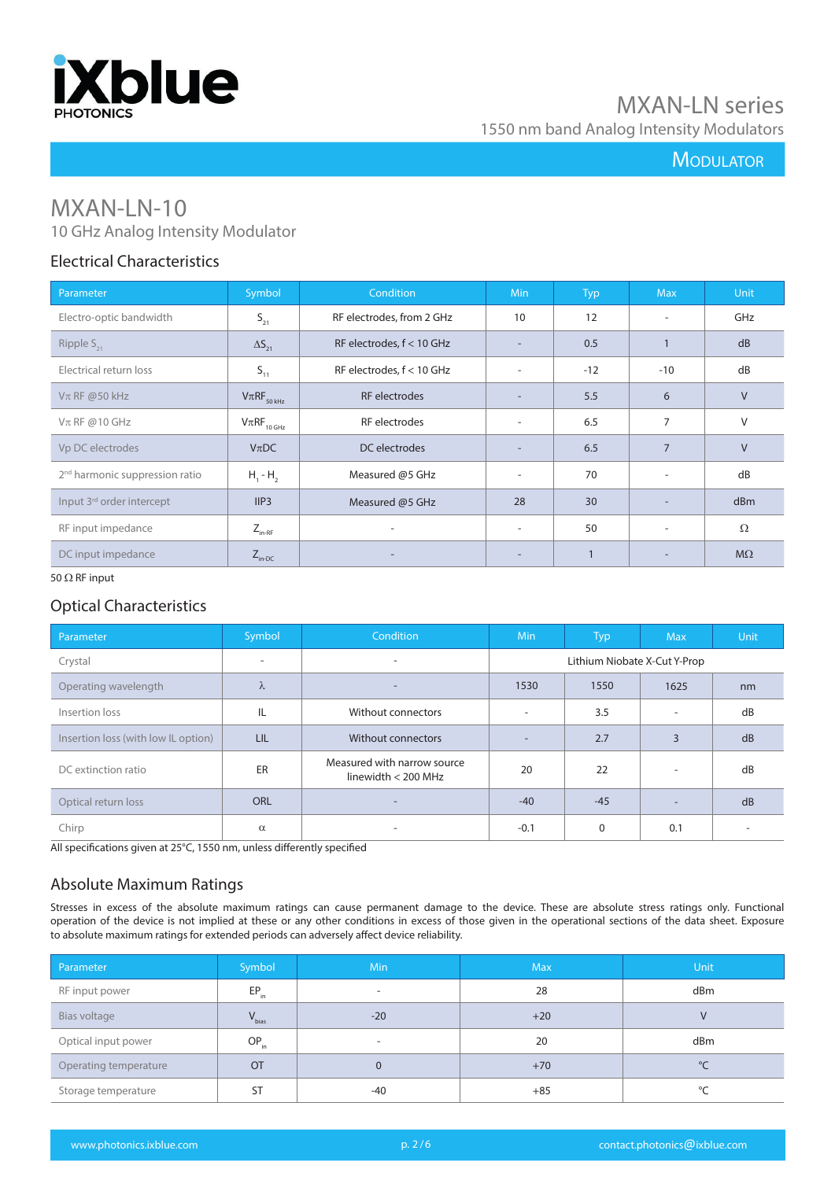

## **MODULATOR**

# MXAN-LN-10

## 10 GHz Analog Intensity Modulator

#### Electrical Characteristics

| Parameter                                  | Symbol                                           | Condition                   | Min.                     | Typ   | <b>Max</b>               | Unit      |
|--------------------------------------------|--------------------------------------------------|-----------------------------|--------------------------|-------|--------------------------|-----------|
| Electro-optic bandwidth                    | $\mathsf{S}_{\scriptscriptstyle{21}}$            | RF electrodes, from 2 GHz   | 10                       | 12    | $\overline{\phantom{0}}$ | GHz       |
| Ripple $S_{21}$                            | $\Delta S_{21}$                                  | RF electrodes, f < 10 GHz   |                          | 0.5   |                          | dB        |
| Electrical return loss                     | $S_{11}$                                         | RF electrodes, $f < 10$ GHz | $\overline{\phantom{a}}$ | $-12$ | $-10$                    | dB        |
| $V\pi$ RF @50 kHz                          | $V\pi RF_{50\,kHz}$                              | RF electrodes               |                          | 5.5   | 6                        | $\vee$    |
| $V\pi$ RF @10 GHz                          | $\mathsf{V}\pi\mathsf{RF}_{_{10\,\mathsf{GHz}}}$ | RF electrodes               |                          | 6.5   | 7                        | $\vee$    |
| Vp DC electrodes                           | $V$ $\pi$ DC                                     | DC electrodes               |                          | 6.5   | $\overline{7}$           | $\vee$    |
| 2 <sup>nd</sup> harmonic suppression ratio | $H_1 - H_2$                                      | Measured @5 GHz             | $\overline{\phantom{a}}$ | 70    | $\overline{\phantom{a}}$ | dB        |
| Input 3 <sup>rd</sup> order intercept      | IIP3                                             | Measured @5 GHz             | 28                       | 30    | $\overline{\phantom{a}}$ | dBm       |
| RF input impedance                         | $Z_{_{\text{in-RF}}}$                            | ٠                           | $\overline{\phantom{a}}$ | 50    | $\overline{\phantom{a}}$ | $\Omega$  |
| DC input impedance                         | $Z_{\text{in-DC}}$                               |                             |                          |       | $\overline{\phantom{a}}$ | $M\Omega$ |

#### 50  $\Omega$  RF input

## Optical Characteristics

| Parameter                           | Symbol     | <b>Condition</b>                                     | <b>Min</b>                   | <b>Typ</b> | <b>Max</b>     | <b>Unit</b> |
|-------------------------------------|------------|------------------------------------------------------|------------------------------|------------|----------------|-------------|
| Crystal                             | ٠          | $\overline{\phantom{a}}$                             | Lithium Niobate X-Cut Y-Prop |            |                |             |
| Operating wavelength                | $\lambda$  |                                                      | 1530                         | 1550       | 1625           | nm          |
| Insertion loss                      | IL         | Without connectors                                   | $\overline{\phantom{a}}$     | 3.5        |                | dB          |
| Insertion loss (with low IL option) | LIL        | Without connectors                                   | $\overline{\phantom{a}}$     | 2.7        | $\overline{3}$ | dB          |
| DC extinction ratio                 | ER         | Measured with narrow source<br>linewidth $<$ 200 MHz | 20                           | 22         |                | dB          |
| Optical return loss                 | <b>ORL</b> | $\overline{\phantom{0}}$                             | $-40$                        | $-45$      |                | dB          |
| Chirp                               | $\alpha$   | ۰                                                    | $-0.1$                       | $\Omega$   | 0.1            |             |

All specifications given at 25°C, 1550 nm, unless differently specified

## Absolute Maximum Ratings

Stresses in excess of the absolute maximum ratings can cause permanent damage to the device. These are absolute stress ratings only. Functional operation of the device is not implied at these or any other conditions in excess of those given in the operational sections of the data sheet. Exposure to absolute maximum ratings for extended periods can adversely affect device reliability.

| Parameter             | Symbol     | <b>Min</b>               | <b>Max</b> | Unit         |
|-----------------------|------------|--------------------------|------------|--------------|
| RF input power        | $EP_{in}$  | $\overline{\phantom{a}}$ | 28         | dBm          |
| Bias voltage          | $V_{bias}$ | $-20$                    | $+20$      |              |
| Optical input power   | $OP_{in}$  | $\overline{\phantom{a}}$ | 20         | dBm          |
| Operating temperature | <b>OT</b>  |                          | $+70$      | $^{\circ}$ C |
| Storage temperature   | <b>ST</b>  | $-40$                    | $+85$      | °C           |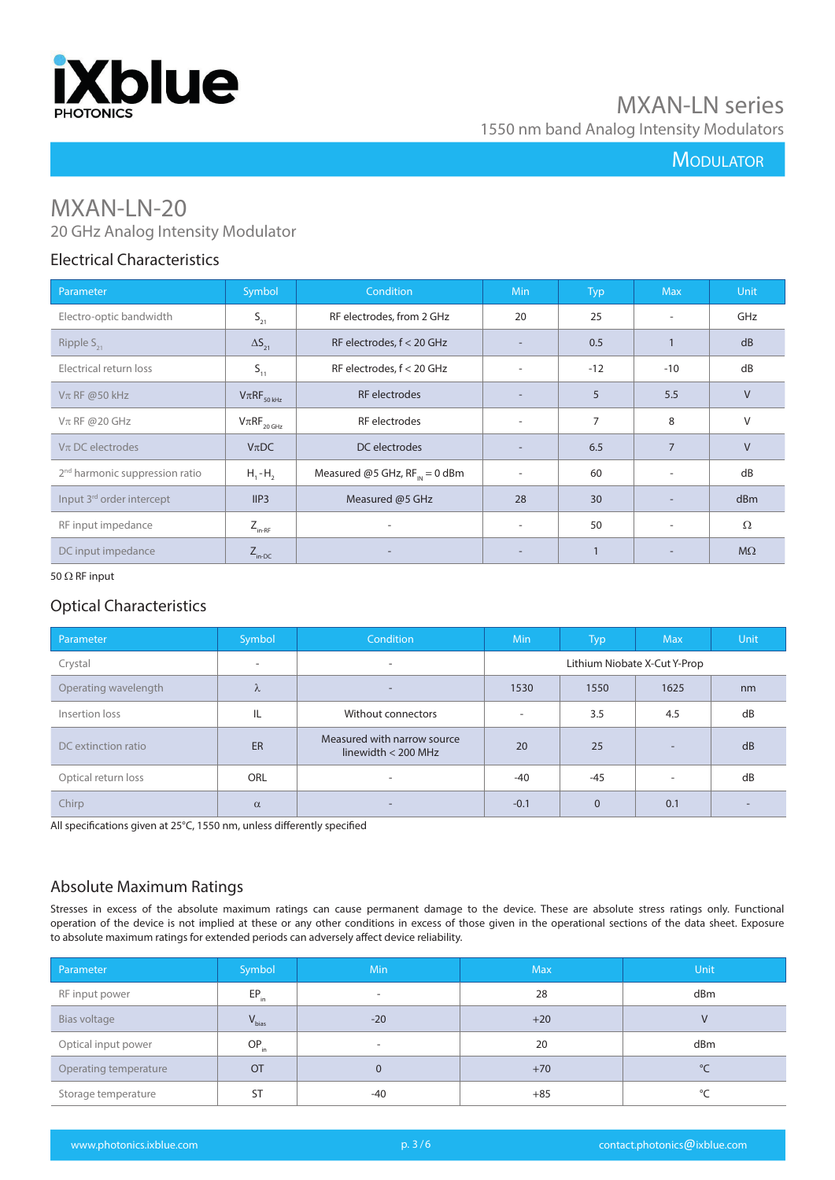

## **MODULATOR**

# MXAN-LN-20

## 20 GHz Analog Intensity Modulator

## Electrical Characteristics

| Parameter                                  | Symbol                                           | <b>Condition</b>                   | <b>Min</b>               | <b>Typ</b>     | Max                      | <b>Unit</b> |
|--------------------------------------------|--------------------------------------------------|------------------------------------|--------------------------|----------------|--------------------------|-------------|
| Electro-optic bandwidth                    | $S_{21}$                                         | RF electrodes, from 2 GHz          | 20                       | 25             | $\overline{\phantom{a}}$ | GHz         |
| Ripple $S_{21}$                            | $\Delta S_{21}$                                  | RF electrodes, $f < 20$ GHz        |                          | 0.5            |                          | dB          |
| Electrical return loss                     | $S_{11}$                                         | RF electrodes, $f < 20$ GHz        | ۰.                       | $-12$          | $-10$                    | dB          |
| $V\pi$ RF @50 kHz                          | $V\pi RF_{_{50\, kHz}}$                          | <b>RF</b> electrodes               | $\overline{\phantom{0}}$ | 5              | 5.5                      | $\vee$      |
| $V\pi$ RF @20 GHz                          | $\mathsf{V}\pi\mathsf{RF}_{_{20\,\mathsf{GHz}}}$ | RF electrodes                      | $\sim$                   | $\overline{7}$ | 8                        | V           |
| $V\pi$ DC electrodes                       | $V\pi DC$                                        | DC electrodes                      |                          | 6.5            | $\overline{7}$           | $\vee$      |
| 2 <sup>nd</sup> harmonic suppression ratio | $H, -H,$                                         | Measured @5 GHz, $RF_{IN} = 0$ dBm | $\sim$                   | 60             | $\overline{\phantom{a}}$ | dB          |
| Input 3rd order intercept                  | IIP3                                             | Measured @5 GHz                    | 28                       | 30             | $\overline{\phantom{a}}$ | dBm         |
| RF input impedance                         | $Z_{\text{in-RF}}$                               | ۰                                  | $\overline{\phantom{a}}$ | 50             | ٠                        | $\Omega$    |
| DC input impedance                         | $Z_{\text{in-DC}}$                               | ۰                                  | $\overline{\phantom{a}}$ |                |                          | $M\Omega$   |

#### 50  $\Omega$  RF input

## Optical Characteristics

| Parameter            | Symbol                   | Condition                                            | <b>Min</b>                   | <b>Typ</b> | <b>Max</b>               | <b>Unit</b> |
|----------------------|--------------------------|------------------------------------------------------|------------------------------|------------|--------------------------|-------------|
| Crystal              | $\overline{\phantom{a}}$ | $\sim$                                               | Lithium Niobate X-Cut Y-Prop |            |                          |             |
| Operating wavelength | $\lambda$                | $\overline{\phantom{a}}$                             | 1530                         | 1550       | 1625                     | nm          |
| Insertion loss       | IL                       | Without connectors                                   |                              | 3.5        | 4.5                      | dB          |
| DC extinction ratio  | ER                       | Measured with narrow source<br>linewidth $<$ 200 MHz | 20                           | 25         | -                        | dB          |
| Optical return loss  | ORL                      | $\overline{\phantom{a}}$                             | $-40$                        | $-45$      | $\overline{\phantom{a}}$ | dB          |
| Chirp                | $\alpha$                 | $\overline{\phantom{a}}$                             | $-0.1$                       | $\Omega$   | 0.1                      |             |

All specifications given at 25°C, 1550 nm, unless differently specified

## Absolute Maximum Ratings

Stresses in excess of the absolute maximum ratings can cause permanent damage to the device. These are absolute stress ratings only. Functional operation of the device is not implied at these or any other conditions in excess of those given in the operational sections of the data sheet. Exposure to absolute maximum ratings for extended periods can adversely affect device reliability.

| Parameter             | Symbol     | Min                      | <b>Max</b> | Unit |
|-----------------------|------------|--------------------------|------------|------|
| RF input power        | $EP_{in}$  | $\overline{\phantom{a}}$ | 28         | dBm  |
| Bias voltage          | $V_{bias}$ | $-20$                    | $+20$      | V    |
| Optical input power   | $OP_{in}$  | $\overline{\phantom{a}}$ | 20         | dBm  |
| Operating temperature | <b>OT</b>  | $\Omega$                 | $+70$      | °C   |
| Storage temperature   | <b>ST</b>  | $-40$                    | $+85$      | °C   |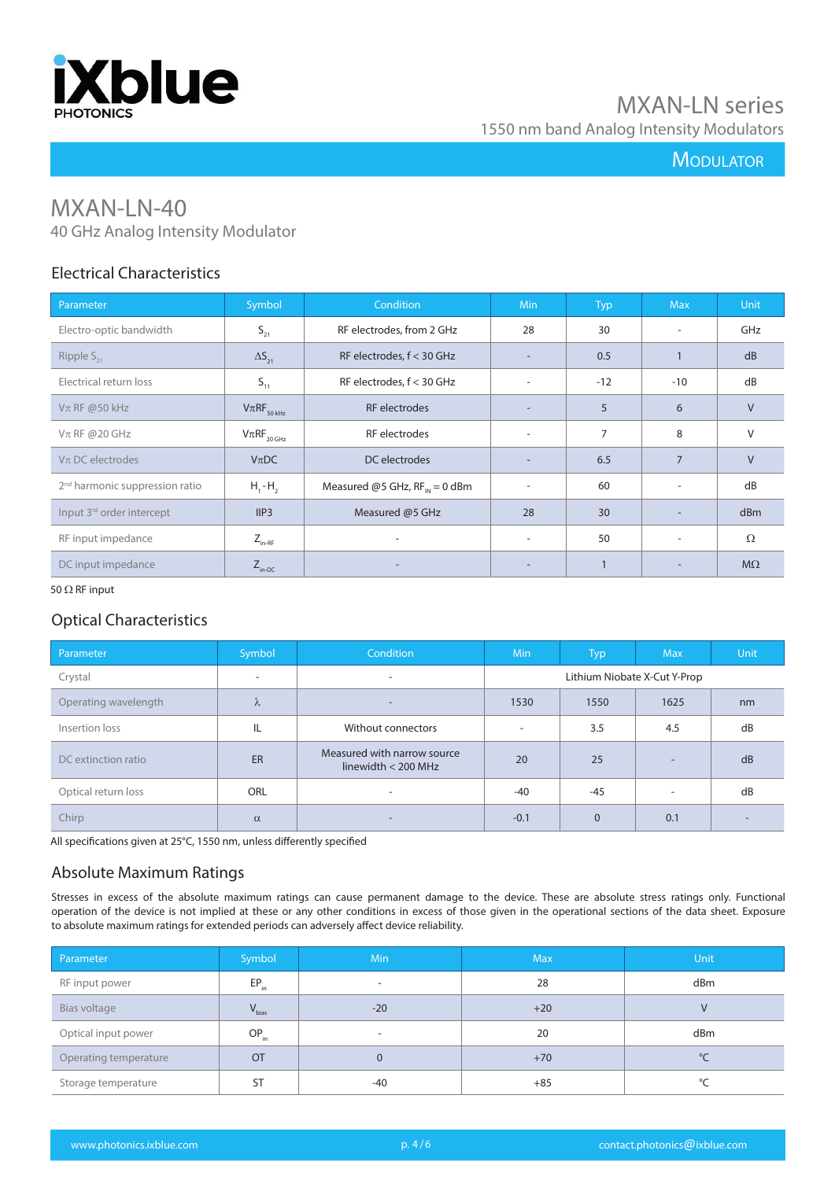

## **MODULATOR**

# MXAN-LN-40

40 GHz Analog Intensity Modulator

## Electrical Characteristics

| Parameter                                  | Symbol                                           | Condition                                 | Min                      | <b>Typ</b>     | <b>Max</b>     | <b>Unit</b> |
|--------------------------------------------|--------------------------------------------------|-------------------------------------------|--------------------------|----------------|----------------|-------------|
| Electro-optic bandwidth                    | $S_{21}$                                         | RF electrodes, from 2 GHz                 | 28                       | 30             |                | GHz         |
| Ripple $S_{21}$                            | $\Delta S_{21}$                                  | RF electrodes, $f < 30$ GHz               |                          | 0.5            |                | dB          |
| Electrical return loss                     | $S_{11}$                                         | RF electrodes, $f < 30$ GHz               | $\overline{\phantom{a}}$ | $-12$          | $-10$          | dB          |
| $V\pi$ RF @50 kHz                          | $V\pi RF_{50\,kHz}$                              | <b>RF</b> electrodes                      | $\overline{\phantom{a}}$ | 5              | 6              | V           |
| $Vπ$ RF @20 GHz                            | $\mathsf{V}\pi\mathsf{RF}_{_{20\,\mathsf{GHz}}}$ | RF electrodes                             | $\overline{\phantom{a}}$ | $\overline{7}$ | 8              | V           |
| $V\pi$ DC electrodes                       | $V_{\pi}DC$                                      | DC electrodes                             | $\overline{\phantom{a}}$ | 6.5            | $\overline{7}$ | $\vee$      |
| 2 <sup>nd</sup> harmonic suppression ratio | $H_1$ - $H_2$                                    | Measured @5 GHz, $RF_{\text{IN}} = 0$ dBm | $\overline{\phantom{a}}$ | 60             | ۰.             | dB          |
| Input 3 <sup>rd</sup> order intercept      | IIP3                                             | Measured @5 GHz                           | 28                       | 30             |                | dBm         |
| RF input impedance                         | $Z_{_{\text{in-RF}}}$                            | ۰                                         | $\overline{\phantom{a}}$ | 50             |                | Ω           |
| DC input impedance                         | $Z_{\text{in-DC}}$                               |                                           |                          |                |                | $M\Omega$   |

50  $\Omega$  RF input

## Optical Characteristics

| Parameter            | Symbol    | Condition                                            | <b>Min</b>                   | <b>Typ</b>     | <b>Max</b>               | <b>Unit</b> |
|----------------------|-----------|------------------------------------------------------|------------------------------|----------------|--------------------------|-------------|
| Crystal              | ۰         | $\overline{\phantom{a}}$                             | Lithium Niobate X-Cut Y-Prop |                |                          |             |
| Operating wavelength | $\lambda$ | $\overline{\phantom{a}}$                             | 1530                         | 1550           | 1625                     | nm          |
| Insertion loss       | IL        | Without connectors                                   | $\overline{\phantom{a}}$     | 3.5            | 4.5                      | dB          |
| DC extinction ratio  | ER        | Measured with narrow source<br>linewidth $<$ 200 MHz | 20                           | 25             | -                        | dB          |
| Optical return loss  | ORL       | $\overline{\phantom{a}}$                             | -40                          | -45            | $\overline{\phantom{a}}$ | dB          |
| Chirp                | $\alpha$  | $\overline{\phantom{a}}$                             | $-0.1$                       | $\overline{0}$ | 0.1                      |             |

All specifications given at 25°C, 1550 nm, unless differently specified

## Absolute Maximum Ratings

Stresses in excess of the absolute maximum ratings can cause permanent damage to the device. These are absolute stress ratings only. Functional operation of the device is not implied at these or any other conditions in excess of those given in the operational sections of the data sheet. Exposure to absolute maximum ratings for extended periods can adversely affect device reliability.

| Parameter             | Symbol     | <b>Min</b>               | <b>Max</b> | Unit         |
|-----------------------|------------|--------------------------|------------|--------------|
| RF input power        | $EP_{in}$  | $\overline{\phantom{0}}$ | 28         | dBm          |
| Bias voltage          | $V_{bias}$ | $-20$                    | $+20$      |              |
| Optical input power   | $OP_{in}$  | $\overline{\phantom{a}}$ | 20         | dBm          |
| Operating temperature | <b>OT</b>  | 0                        | $+70$      | $^{\circ}$ C |
| Storage temperature   | <b>ST</b>  | $-40$                    | $+85$      | °C           |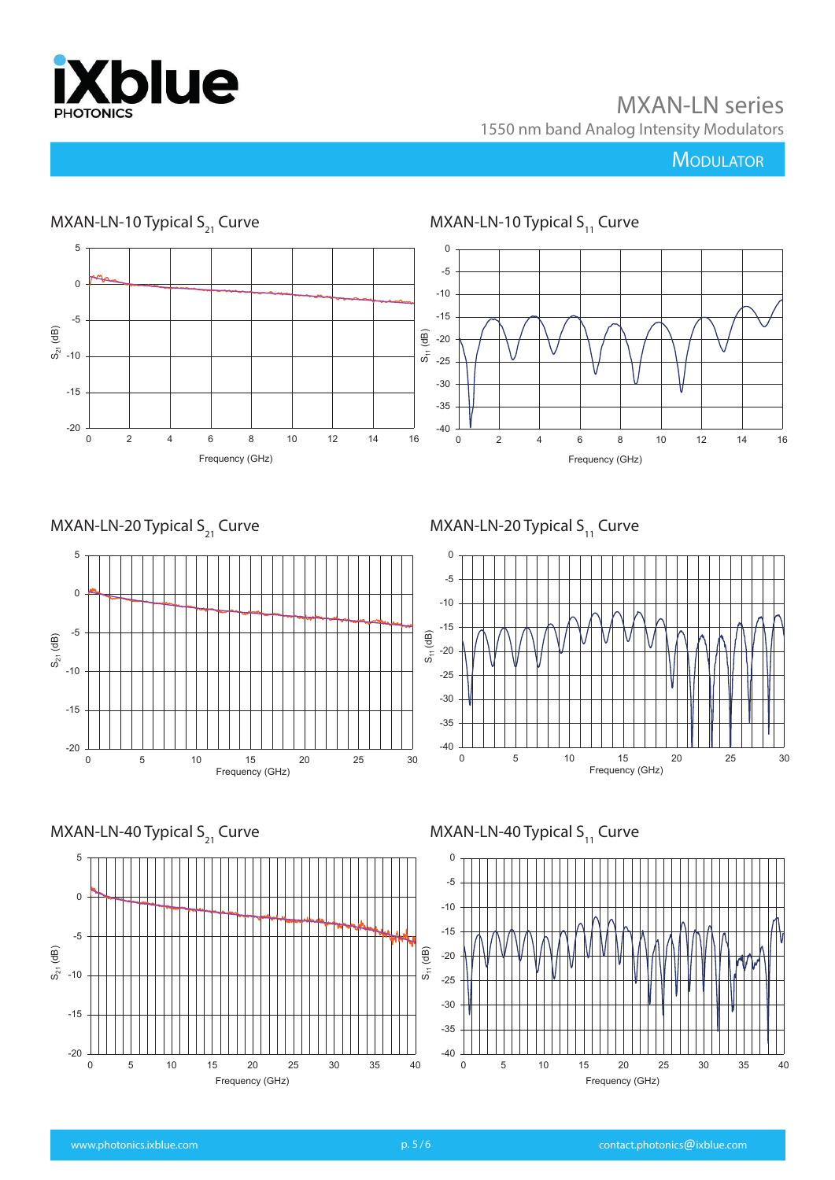

## **MODULATOR**



0 5 10 15 20 25 30 35 40 Frequency (GHz)

-20

-15

-40 -35

0 5 10 15 20 25 30 35 40

Frequency (GHz)